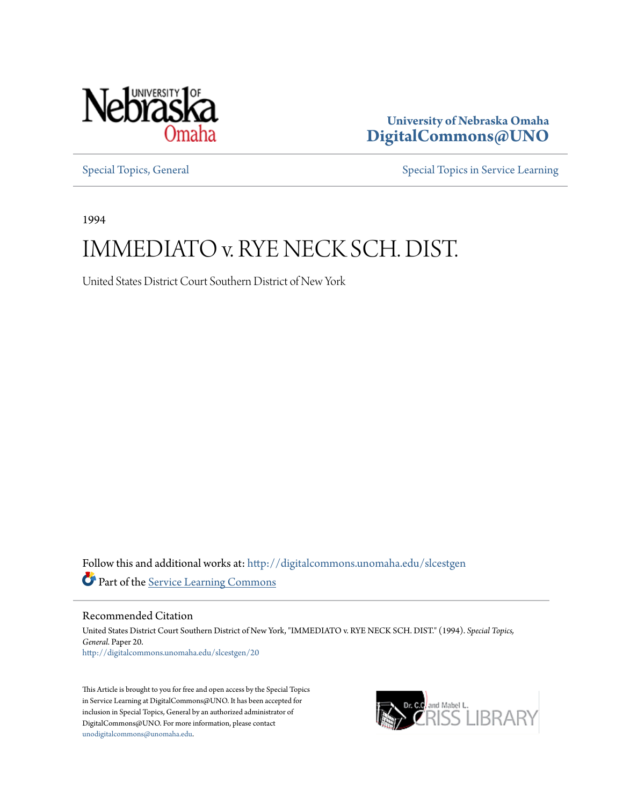

**University of Nebraska Omaha [DigitalCommons@UNO](http://digitalcommons.unomaha.edu?utm_source=digitalcommons.unomaha.edu%2Fslcestgen%2F20&utm_medium=PDF&utm_campaign=PDFCoverPages)**

[Special Topics, General](http://digitalcommons.unomaha.edu/slcestgen?utm_source=digitalcommons.unomaha.edu%2Fslcestgen%2F20&utm_medium=PDF&utm_campaign=PDFCoverPages) [Special Topics in Service Learning](http://digitalcommons.unomaha.edu/slcespecialtopics?utm_source=digitalcommons.unomaha.edu%2Fslcestgen%2F20&utm_medium=PDF&utm_campaign=PDFCoverPages)

1994

# IMMEDIATO v. RYE NECK SCH. DIST.

United States District Court Southern District of New York

Follow this and additional works at: [http://digitalcommons.unomaha.edu/slcestgen](http://digitalcommons.unomaha.edu/slcestgen?utm_source=digitalcommons.unomaha.edu%2Fslcestgen%2F20&utm_medium=PDF&utm_campaign=PDFCoverPages) Part of the [Service Learning Commons](http://network.bepress.com/hgg/discipline/1024?utm_source=digitalcommons.unomaha.edu%2Fslcestgen%2F20&utm_medium=PDF&utm_campaign=PDFCoverPages)

Recommended Citation

United States District Court Southern District of New York, "IMMEDIATO v. RYE NECK SCH. DIST." (1994). *Special Topics, General.* Paper 20. [http://digitalcommons.unomaha.edu/slcestgen/20](http://digitalcommons.unomaha.edu/slcestgen/20?utm_source=digitalcommons.unomaha.edu%2Fslcestgen%2F20&utm_medium=PDF&utm_campaign=PDFCoverPages)

This Article is brought to you for free and open access by the Special Topics in Service Learning at DigitalCommons@UNO. It has been accepted for inclusion in Special Topics, General by an authorized administrator of DigitalCommons@UNO. For more information, please contact [unodigitalcommons@unomaha.edu](mailto:unodigitalcommons@unomaha.edu).

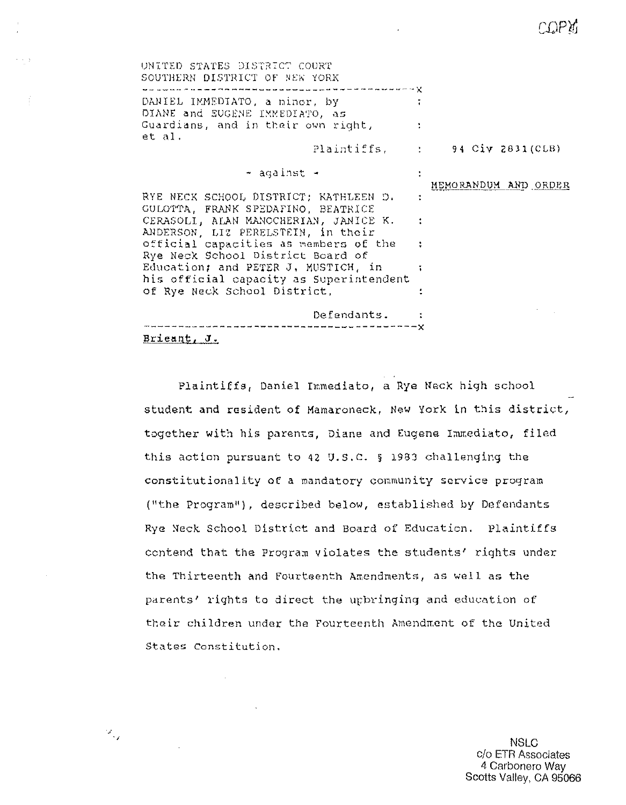COPY

| UNITED STATES DISTRICT COURT<br>SOUTHERN DISTRICT OF NEW YORK                                                                                                                                                                  |                                 |
|--------------------------------------------------------------------------------------------------------------------------------------------------------------------------------------------------------------------------------|---------------------------------|
| which continuous continuous construction and continuous continuous continuous continuous continuous continuous $\chi$<br>DANIEL IMMEDIATO, a minor, by<br>DIANE and EUGENE IMMEDIATO, as<br>Guardians, and in their own right, |                                 |
| et al.                                                                                                                                                                                                                         | Plaintiffs, : 94 Civ 2831 (CLB) |
| ≁ against -                                                                                                                                                                                                                    | MEMORANDUM AND ORDER            |
| RYE NECK SCHOOL DISTRICT; KATHLEEN D.<br>GULOTTA, FRANK SPEDAFINO, BEATRICE                                                                                                                                                    |                                 |
| CERASOLI, ALAN MANOCHERIAN, JANICE K. :<br>ANDERSON, LIZ PERELSTEIN, in their                                                                                                                                                  |                                 |
| official capacities as members of the :<br>Rye Neck School District Board of                                                                                                                                                   |                                 |
| Education; and PETER J. MUSTICH, in<br>his official capacity as Superintendent                                                                                                                                                 |                                 |
| of Rye Neck School District,<br>Defendants.                                                                                                                                                                                    |                                 |
| Brieant, J.                                                                                                                                                                                                                    |                                 |

Plaintiffs, Daniel Immediato, a Rye Neck high school student and resident of Mamaroneck, New York in this district, together with his parents, Diane and Eugene Immediato, filed this action pursuant to 42 U.S.C. § 1983 challenging the constitutionality of a mandatory community service program ("the Program"), described below, established by Defendants Rye Neck School District and Board of Education. Plaintiffs contend that the Program violates the students' rights under the Thirteenth and Fourtsenth Amendments, as well as the parents' rights to direct the upbringing and education of their children under the Fourteenth Amendment of the United States Constitution.

 $\mathcal{I}_{\mathcal{A}}$ 

**NSLC** C/O ETR Associates 4 Carbonero Way Scotts Valley, CA 95066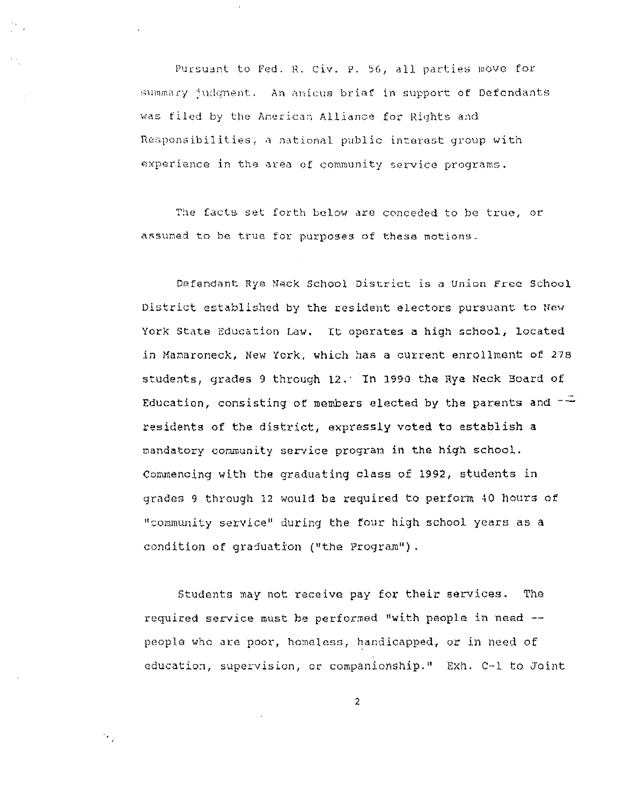Pursuant to Fed. R. Civ. P. 56, all parties move for  $\frac{1}{2}$  wilder interest. An anique  $\frac{1}{2}$  in support of Defendants was filed by the American Alliance for Rights and Responsibilities, a national public interest group with experience in the area of community service programs.

The facts set forth below are conceded to be true, or assumed to be true for purposes of these motions.

Defendant Rye Neck School District is a Union Free School District established by the resident electors pursuant to New York State Education Law. It operates a high school, located in Manaroneck, New York, which has a current enrollment of 278 students, grades 9 through 12. In 1990 the Rye Neck Board of Education, consisting of members elected by the parents and  $-\frac{1}{x}$ residents of the district, expressly voted to establish a mandatory community service program in the high school. Commencing with the graduating class of 1992, students in grades 9 through 12 would be required to perform 40 hours of "community service" during the four high school years as a condition of graduation ("the Program").

Students may not receive pay for their services. The required service must be performed "with people in need -people who are poor, homeless, handicapped, or in need of education, supervision, or companionship." Exh. C-1 to Joint

2

 $\mathcal{A}_\alpha$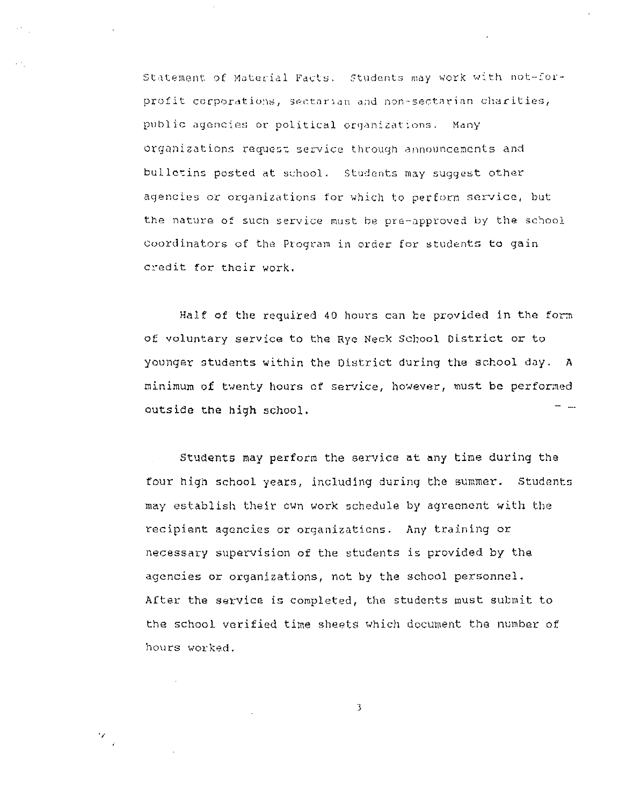Statement of Material Facts. Students may work with not-forprofit corporations, sectarian and non-sectarian charities, public agencies or political organizations. Many organizations request service through announcements and bulletins posted at school. Students may suggest other agencies or organizations for which to perform service, but the nature of such service must be pre-approved by the school coordinators of the Program in order for students to gain credit for their work.

Half of the required 40 hours can be provided in the form of voluntary service to the Rye Neck School District or to younger students within the District during the school day. A minimum of twenty hours of service, however, must be performed outside the high school.

Students may perform the service at any time during the four high school years, including during the summer. Students may establish their own work schedule by agreement with the recipient agencies or organizations. Any training or necessary supervision of the students is provided by the agencies or organizations, not by the school personnel. After the service is completed, the students must submit to the school verified time sheets which document the number of hours worked.

3

 $\mathcal{L}$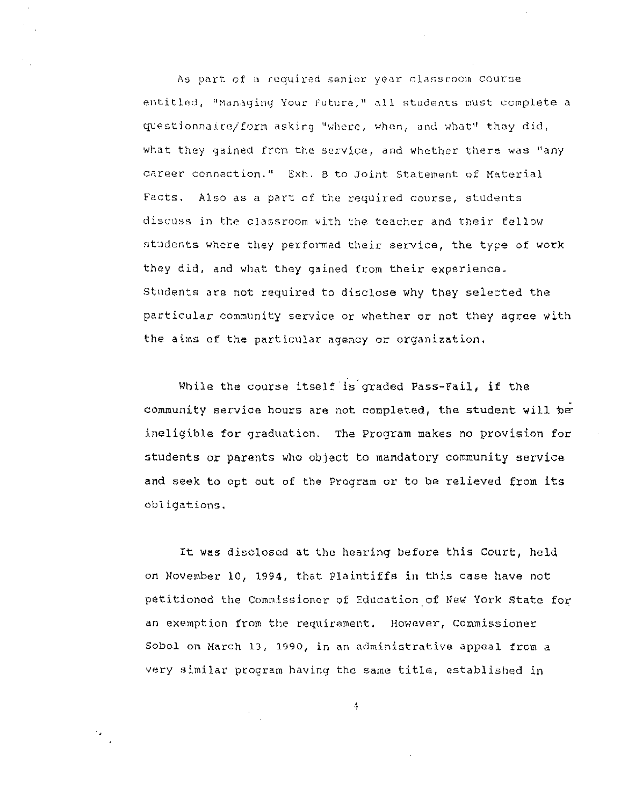As part of a required senior year classroom course  $entited,$  <sup>#</sup>Managing Your Future,<sup>#</sup> all students must complete a  $q$ vestionnaire/form  $a$ sking "where, when, and what" they did, what they gained from the service, and whether there was "any career connection." Exh. B to Joint Statement of Material Facts. Also as a part of the required course, students discuss in the classroom with the teacher and their fellow students where they performed their service, the type of work they did, and what they gained from their experience. Students are not required to disclose why they selected the particular community service or whether or not they agree with the alms of the particular agency or organization,

While the course itself is graded Pass-Fail, if the community service hours are not completed, the student will be ineligible for graduation. The Program makes no provision for students or parents who object to mandatory community service and seek to opt out of the Program or to be relieved from its obligations.

It was disclosed at the hearing before this Court, held on November 10, 1994, that Plaintiffs in this case have not petitioned the Commissioner of Education.of New York State for an exemption from the requirament. However, Commissioner Sobol on March lJ, 1090, in an administrative appeal from a very similar program having the same title, established in

 $\ddot{4}$ 

 $\mathbf{v}_{\rm{in}}$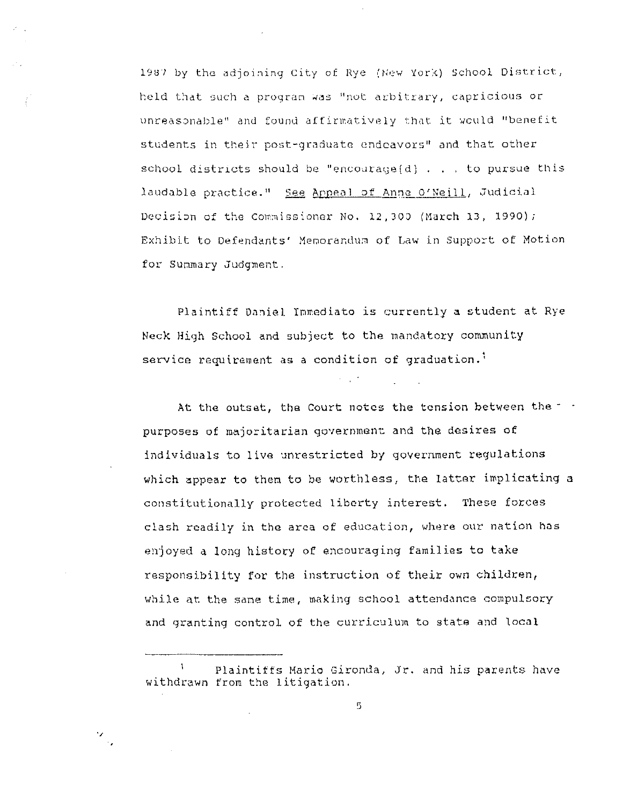1987 by the adjoining City of Rye (New York) School District, held that such a program was "not arbitrary, capricious or unreasonable" and found affirmatively that it would "benefit students in their post-graduate endeavors" and that other school districts should be "encourage(d) . . . to pursue this laudable practice." See Appeal of Anne O'Neill, Judicial Decision of the Commissioner No. 12,300 (March 13, 1990); Exhibit to Defendants' Memorandum of Law in Support of Motion for Summary Judgment.

Plaintiff Daniel Immediato is currently a student at Rye Neck High School and subject to the mandatory community service requirement as a condition of graduation.<sup>1</sup>

At the outset, the Court notes the tension between the - purposes of majoritarian government and the desires of individuals to live unrestricted by government regulations which appear to them to be worthless, the latter implicating a constitutionally protected liberty interest. These forces clash readily in the area of education, where our nation has enjoyed a long history of encouraging families to take responsibility for the instruction of their own children, while at the same time, making school attendance compulsory and granting control of the curriculum to state and local

Plaintiffs Mario Gironda, Jr. and his parents have withdrawn from the litigation.

 $\frac{1}{2}$ 

5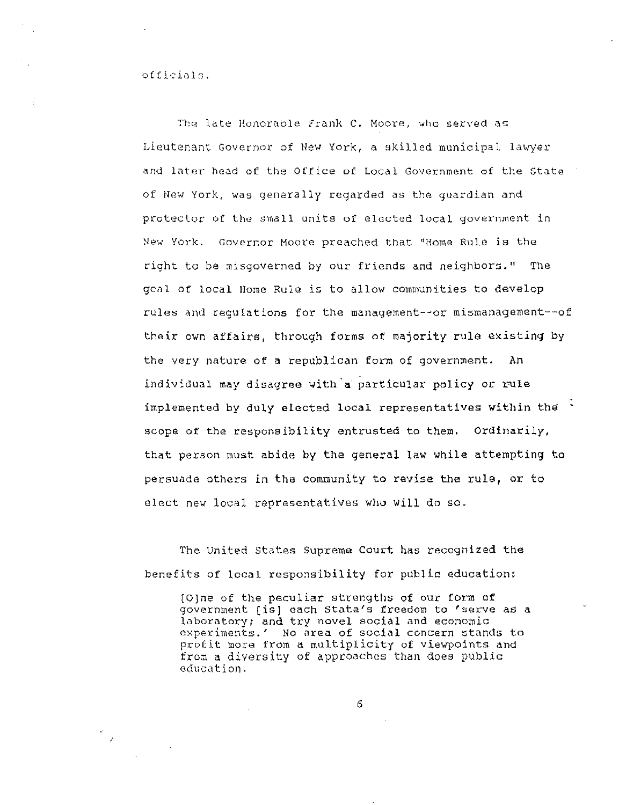The late Honorable Frank C. Moore, who served as Lieutenant Governor of New York, a skilled municipal lawyer and later head of the Office of Local Government of the State of New York, was generally regarded as the guardian and protector of the small units of elected local government in New York. Governor Moore preached that 'Home Rule is the right to be misgoverned by our friends and neighbors." The geal of local Home Rule is to allow communities to develop rules and requiations for the management--or mismanagement--of their own affairs, through forms of majority rule existing by the very nature of a republican form of government. An individual may disagree with a particular policy or rule implemented by duly elected local representatives within the scope of the responsibility entrusted to them. Ordinarily, that person must abide by the general law while attempting to persuade others in the community to revise the rule, or to elect new local representatives who will do so.

The United States Supreme Court has recognized the benefits of local responsibility for public education:

(O)ne of the peculiar strengths of our form of government [is] each State's freedom to 'serve as a laboratory; and try novel social and economic experiments.' No area of social concern stands to profit more from a multiplicity of viewpoints and from a diversity of approaches than does public education.

6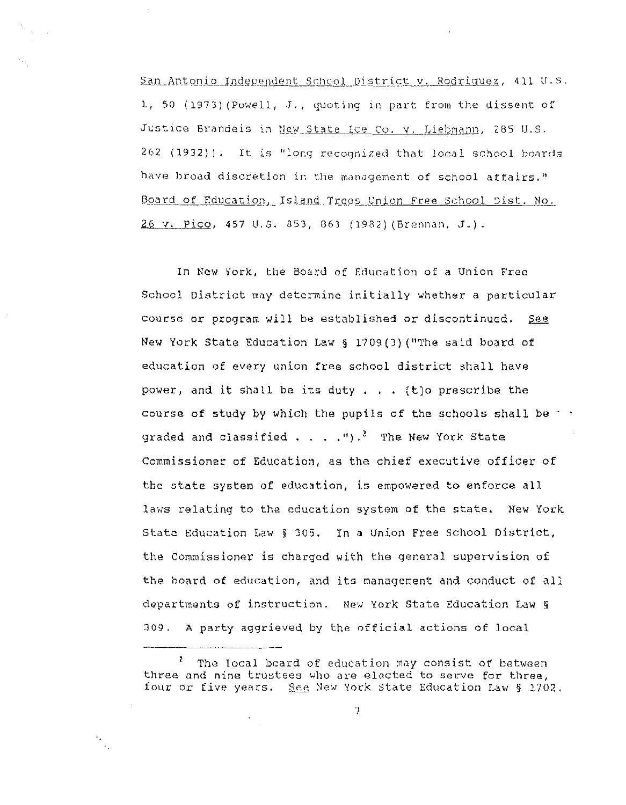San Antonio Independent School District v. Rodriquez, 411 U.S. 1, 50 (1973) (Powell, J., quoting in part from the dissent of Justice Brandeis in New State Ice Co. V. Liebmann, 285 U.S. 262 (1932)). It is "long recognized that local school boards have broad discretion in the management of school affairs." Board of Education, Island Trees Union Free School Dist. No. 26 v. Pico, 457 U.S. 853, 863 (1982) (Brennan, J.).

In New York, the Board of Education of a Union Free School District may determine initially whether a particular course or program will be established or discontinued. see. New York State Education Law § 1709(3) ("The said board of education of every union free school district shall have power, and it shall be its duty . . . (t)o prescribe the course of study by which the pupils of the schools shall be - graded and classified . . . . ").<sup>2</sup> The New York State Commissioner of Education, as the chief executive officer of the state system of education, is empowered to enforce all laws relating to the education system of the state. New York State Education Law § 305. In a Union Free School District, the Commissioner is charged with the general supervision of the board of education, and its management and conduct of all departments of instruction. New York State Education Law § 309. A party aggrieved by the official actions of local

 $\gamma$ 

Ž. The local beard of education may consist of between three and nine trustees who are elected to serve for three, four or five years. See New York State Education Law § 1702.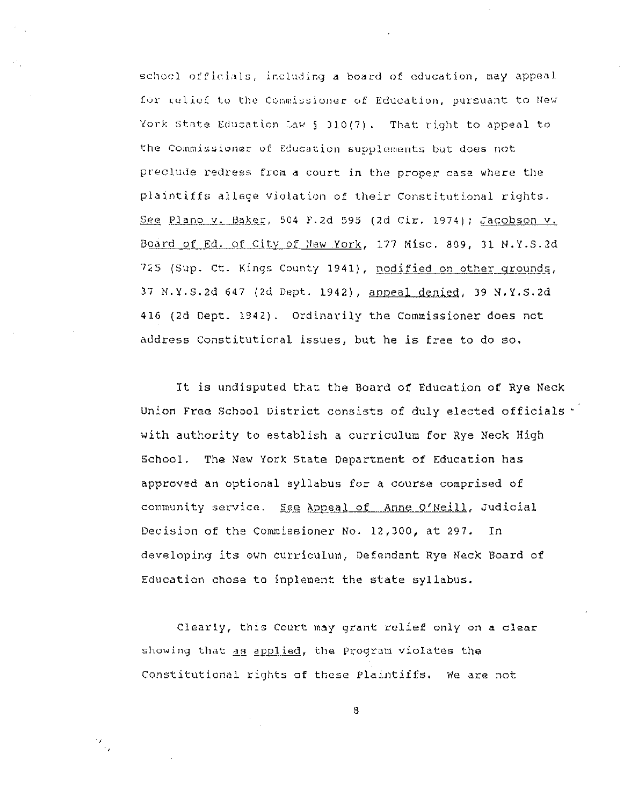school officials, including a board of education, may appeal for relief to the Commissioner of Education, pursuant to New York State Education Law § 310(7). That right to appeal to the Commissioner of Education supplements but does not preclude redress from a court in the proper case where the plaintiffs allege violation of their Constitutional rights. See Plano v. Baker, 504 F.2d 595 (2d Cir. 1974); Jacobson v. Board of Ed. of City of New York, 177 Misc. 809, 31 N.Y.S.2d 725 (Sup. Ct. Kings County 1941), modified on other grounds, 37 N.Y.S.2d 647 (2d Dept. 1942), appeal denied, 39 N.Y.S.2d 416 (2d Dept. 1942). Ordinarily the Commissioner does not address Constitutional issues, but he is free to do so.

It is undisputed that the Board of Education of Rye Neck Union Free School District consists of duly elected officials \* with authority to establish a curriculum for Rye Neck High School. The New York State Department of Education has approved an optional syllabus for a course comprised of community service. See Appeal of Anne O'Neill, Judicial Decision of the Commissioner No. 12,300, at 297. In developing its own curriculum, Defendant Rye Neck Board of Education chose to inplement the state syllabus.

Clearly, this Court may grant relief only on a clear showing that as applied, the Program violates the Constitutional rights of these Plaintiffs. We are not

 $\frac{1}{2} \sum_{i=1}^{n} \frac{1}{2} \sum_{j=1}^{n} \frac{1}{2} \sum_{j=1}^{n} \frac{1}{2} \sum_{j=1}^{n} \frac{1}{2} \sum_{j=1}^{n} \frac{1}{2} \sum_{j=1}^{n} \frac{1}{2} \sum_{j=1}^{n} \frac{1}{2} \sum_{j=1}^{n} \frac{1}{2} \sum_{j=1}^{n} \frac{1}{2} \sum_{j=1}^{n} \frac{1}{2} \sum_{j=1}^{n} \frac{1}{2} \sum_{j=1}^{n} \frac{1}{2} \sum_{j=1}^{n$ 

8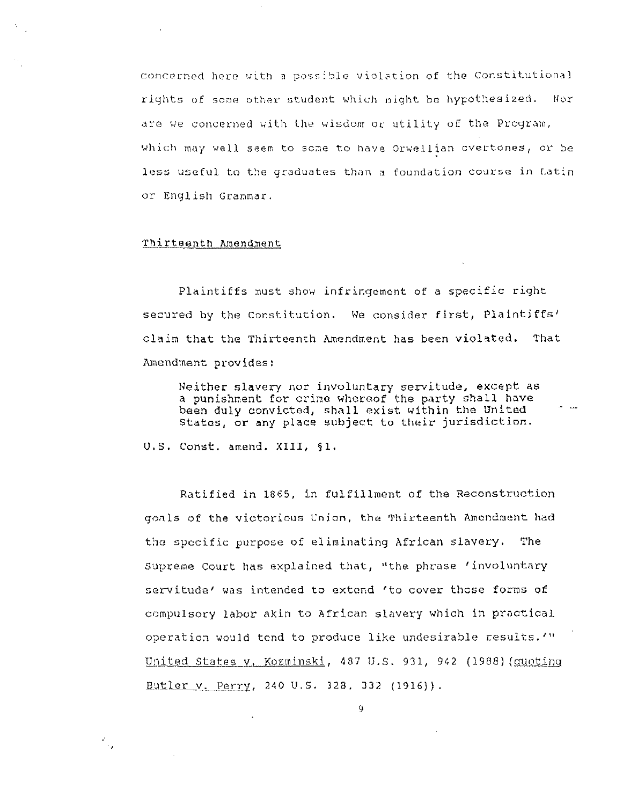concerned here with a possible violation of the Constitutional rights of some other student which might be hypothesized. Nor are we concerned with the wisdom or utility of the Program, which may well seem to some to have Orwellian overtones, or be less useful to the graduates than a foundation course in Latin or English Grammar.

### Thirtsenth Amendment

Plaintiffs must show infringement of a specific right secured by the Constitution. We consider first, Plaintiffs' claim that the Thirteenth Amendment has been violated. That Amendment provides:

Neither slavery nor involuntary servitude, except as a punishment for crime whereof the party shall have been duly convicted, shall exist within the United States, or any place subject to their jurisdiction.

U.S. Const. amend. XIII, §1.

Ratified in 1865, in fulfillment of the Reconstruction goals of the victorious Union, the Thirteenth Amendment had the specific purpose of eliminating African slavery. The Supreme Court has explained that, "the phrase 'involuntary servitude' was intended to extend 'to cover those forms of compulsory labor akin to African slavery which in practical operation would tend to produce like undesirable results.'" United States v, Kozminski, 487 U.S. 931, 942 (1988) (quoting Butler v. Perry, 240 U.S. 328, 332 (1916)).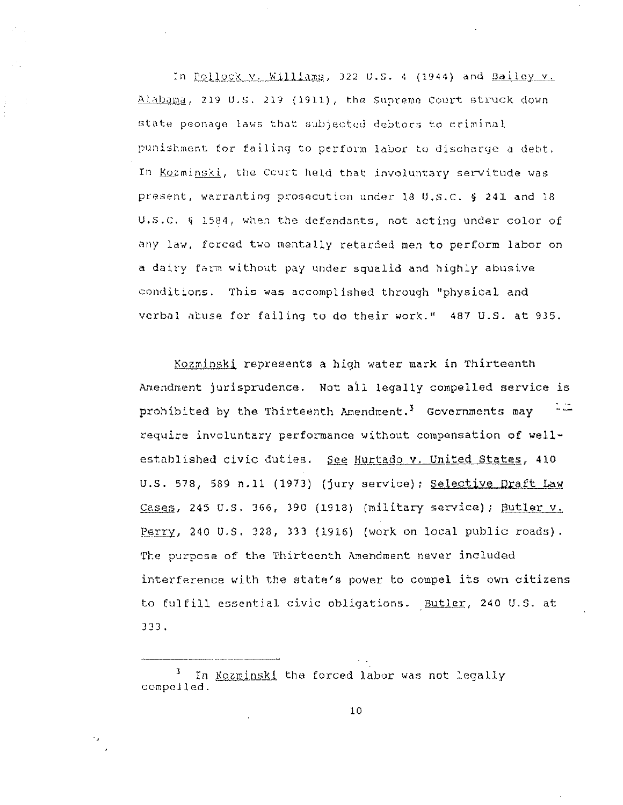In Pollock y. Williams, 322 U.S. 4 (1944) and Bailey v.  $\frac{\text{Alabang}}{\text{Alabang}}$ , 219 **U.S. 219 (1911)**, the Supreme Court struck down state peonage laws that subjected debtors to criminal punishment for failing to perform labor to discharge a debt. In Kozminski, the Court held that involuntary servitude was present, warranting prosecution under 18  $0.5.C.$  § 241 and 18 U.S.C.  $\S$  1584, when the defendants, not acting under color of any law, forced two mentally retarded men to perform labor on a dairy farm without pay under squalid and highly abusive conditions. This was accomplished through ''physical and verbal abuse for failing to do their work." 487 U.S. at 935.

Kozminski represents a high water mark in Thirteenth Amendment jurisprudence. Not all legally compelled service is prohibited by the Thirteenth Amendment.<sup>3</sup> Governments may require involuntary performance without compensation of wellestablished civic duties. See Hurtado v. United States, 410 U.S. 578, 589 n.11 (1973) (jury service); Selective Draft Law Cases, 245 U.S. 366, 390 (1918) (military service); Butler v. Perry, 240 U.S. 328, 333 (1916) (work on local public roads). The purpose of the Thirteenth Amendment never included interference with the state's power to compel its own citizens to fulfill essential civic obligations. Butler, 240 U.S. at 333.

<sup>3.</sup> In Kozminski the forced labor was not legally compelled.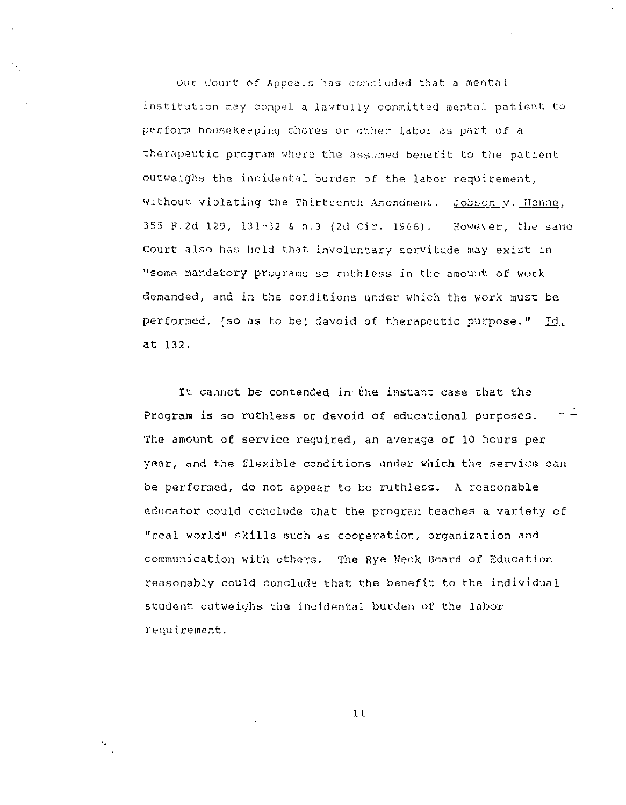Our Court of Appeals has concluded that a mental institution may compel a lawfully committed mental patient to perform housekeeping chores or other labor as part of a therapeutic program where the assumed benefit to the patient outweighs the incidental burden of the labor requirement, Without violating the Thirteenth Amondment. Cobson v. Henne, 355 F.2d 129, 131-32 & n.3 (2d Cir. 1966). However, the same Court also has held that involuntary servitude may exist in "some mandatory programs so ruthless in the amount of work demanded, and in the conditions under which the work must be performed, [so as to be] devoid of therapeutic purpose." Id. at 132.

It cannot be contended in the instant case that the - 4 Program is so ruthless or devoid of educational purposes. The amount of service required, an average of 10 hours per year, and the flexible conditions under which the service can be performed, do not appear to be ruthless. A reasonable educator could conclude that the program teaches a variety of "real world" skills such as cooperation, organization and communication with others. The Rye Neck Board of Education reasonably could conclude that the benefit to the individual student outweighs the incidental burden of the labor requirement.

 $11$ 

 $\mathcal{F}_\mu$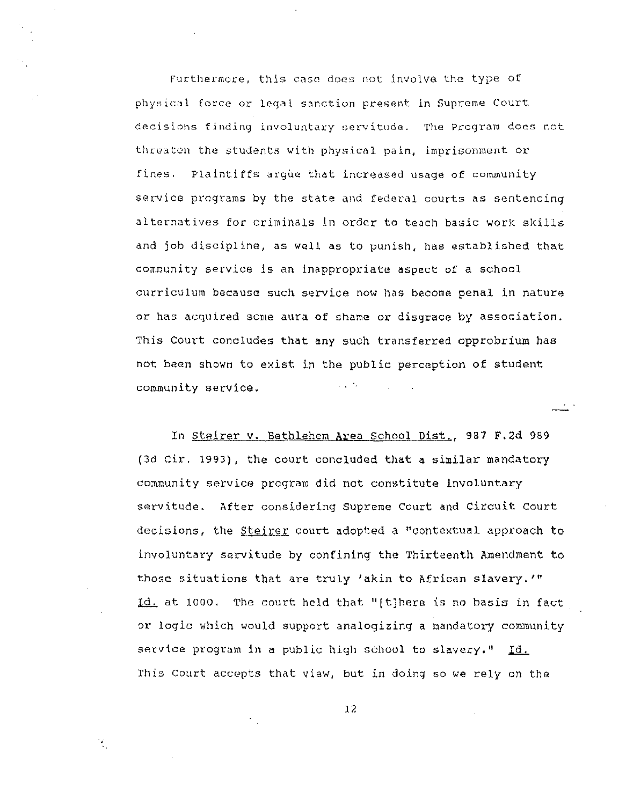Furthermore, this case does not involve the type of physical force or legal sanction present in Supreme Court decisions finding involuntary servitude. The Program does not threaten the students with physical pain, imprisonment or fines. Plaintiffs argue that increased usage of community service programs by the state and federal courts as sentencing alternatives for criminals in order to teach basic work skills and job discipline, as well as to punish, has established that corrnunity service is an inappropriate aspect of a school curriculum because such service now has become penal in nature or has acquired some aura of shame or disgrace by association. This Court concludes that any such transferred opprobrium has not been shown to exist in the public perception of student community service.

In Steirer v. Bethlehem Area School Dist., 987 F.2d 989 (3d cir. 1993) , the court concluded that a similar mandatory community service program did not constitute involuntary servitude. After considering Supreme Court and Circuit Court decisions, the *Steirer* court adopted a "contextual approach to involuntary servitude by confining the Thirteenth Amendment to those situations that are truly 'akin to African slavery.'" Id. at 1000. The court held that "[t]here is no basis in fact or logic which would support analogizing a nandatory community service program in a public high school to slavery."  $Id.$ This Court accepts that view, but in doing so we rely on the

12

·,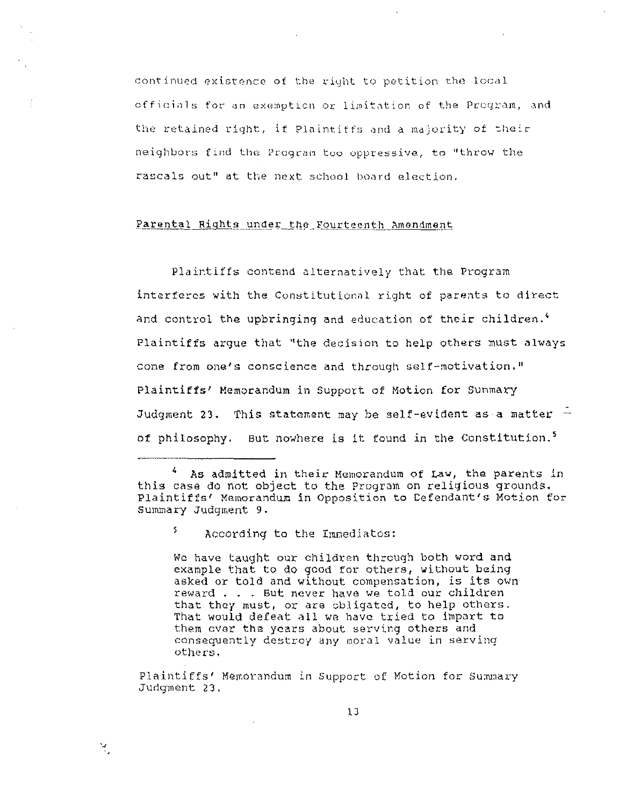continued existence of the right to petition the local officials for an exemption or limitation of the Program, and the retained right, if Plaintiffs and a majority of their neighbors find the Program too oppressive, to "throw the rascals out" at the next school board election.

## Parental Rights under the Fourteenth Amendment

Plaintiffs contend alternatively that the Program interferes with the Constitutional right of parents to direct and control the upbringing and education of their children.<sup>4</sup> Plaintiffs argue that "the decision to help others must always come from one's conscience and through self-motivation." Plaintiffs' Memorandum in Support of Motion for Sunmary Judgment 23. This statement may be self-evident as a matter  $$ of philosophy. But nowhere is it found in the Constitution.<sup>5</sup>

As admitted in their Memorandum of Law, the parents in this case do not object to the Program on religious grounds. Plaintiffs' Memorandum in Opposition to Defendant's Motion for Summary Judgment 9.

5. According to the Immediatos:

M.

We have taught our children through both word and example that to do good for others, without being asked or told and without compensation, is its own reward... But never have we told our children that they must, or are obligated, to help others. That would defeat all we have tried to impart to them over the years about serving others and consequently destroy any moral value in serving others.

Plaintiffs' Memorandum in Support of Motion for Summary Judgment 23,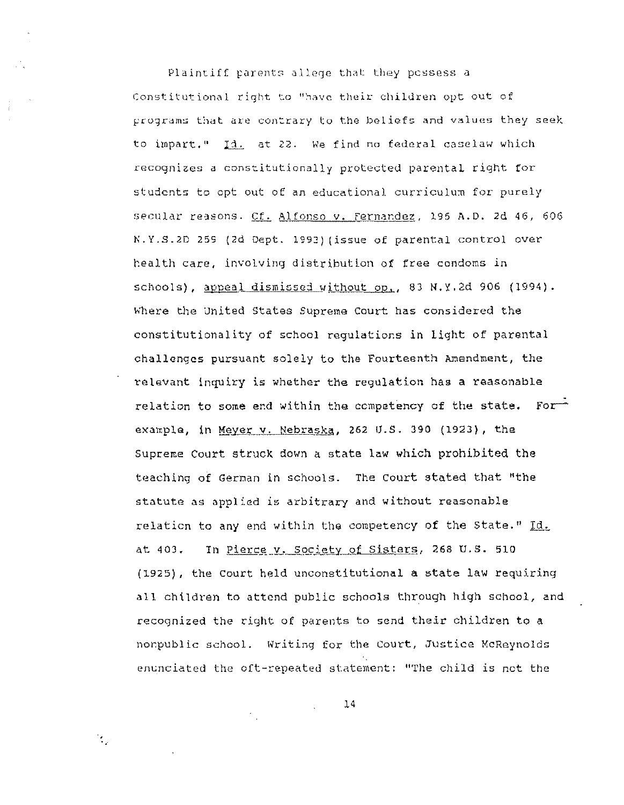Plaintiff parents allege that they possess a Constitutional right to "have their children opt out of programs that are contrary to the beliefs and values they seek to impart." Id. at 22. We find no federal caselaw which recognizes a constitutionally protected parental right for students to opt out of an educational curriculum for purely secular reasons. Cf. Alfonso v. Fernandez, 195 A.D. 2d 46, 606 N.Y.S.2D 259 (2d Dept. 1993) (issue of parental control over health care, involving distribution of free condoms in schools), appeal dismissed without op., 83 N.Y.2d 906 (1994). Where the United States Supreme Court has considered the constitutionality of school requiations in light of parental challenges pursuant solely to the Fourteenth Amendment, the relevant inquiry is whether the regulation has a reasonable relation to some end within the competency of the state. For example, in Meyer v. Nebraska, 262 U.S. 390 (1923), the Supreme Court struck down a state law which prohibited the teaching of German in schools. The Court stated that "the statute as applied is arbitrary and without reasonable relation to any end within the competency of the State." Id. In Pierce v. Society of Sisters, 268 U.S. 510 at 403. (1925), the Court held unconstitutional a state law requiring all children to attend public schools through high school, and recognized the right of parents to send their children to a nonpublic school. Writing for the Court, Justice McReynolds enunciated the oft-repeated statement: "The child is not the

14

 $\mathcal{F}_{\mathcal{G}}$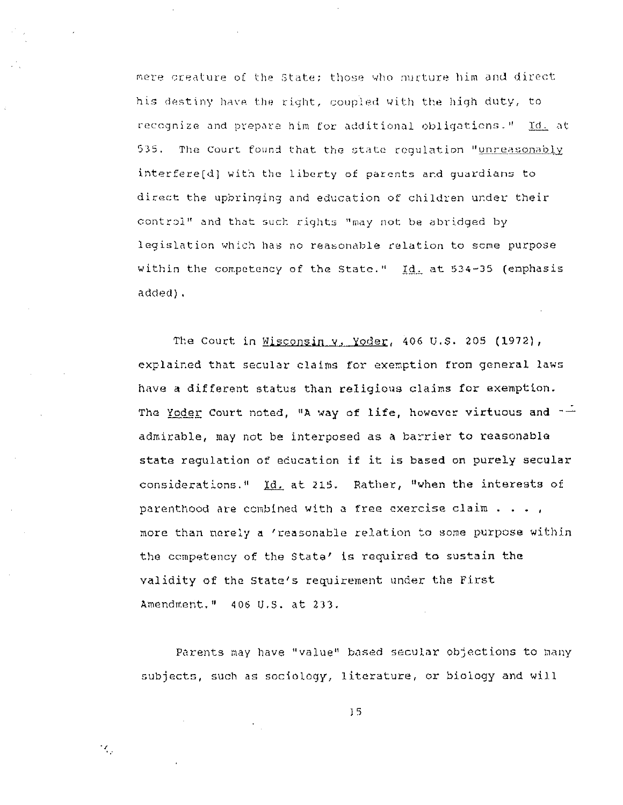mere creature of the State; those who nurture him and direct his destiny have the right, coupled with the high duty, to recognize and prepare him for additional obligations." Id. at  $535 -$ The Court found that the state requlation "unreasonably interfere(d) with the liberty of parents and quardians to direct the upbringing and education of children under their control" and that such rights "may not be abridged by legislation which has no reasonable relation to some purpose within the competency of the State." Id. at 534-35 (emphasis added).

The Court in Wisconsin v. Yoder, 406 U.S. 205 (1972), explained that secular claims for exemption from general laws have a different status than religious claims for exemption. The Yoder Court noted, "A way of life, however virtuous and  $-\frac{1}{x}$ admirable, may not be interposed as a barrier to reasonable state regulation of education if it is based on purely secular considerations." Id. at 215. Rather, "when the interests of parenthood are combined with a free exercise claim  $\ldots$ , more than nerely a 'reasonable relation to some purpose within the competency of the State' is required to sustain the validity of the State's requirement under the First Amendment. " 406 U.S. at 233.

Parents may have "value" based secular objections to many subjects, such as sociology, literature, or biology and will

 $15$ 

ήÇ,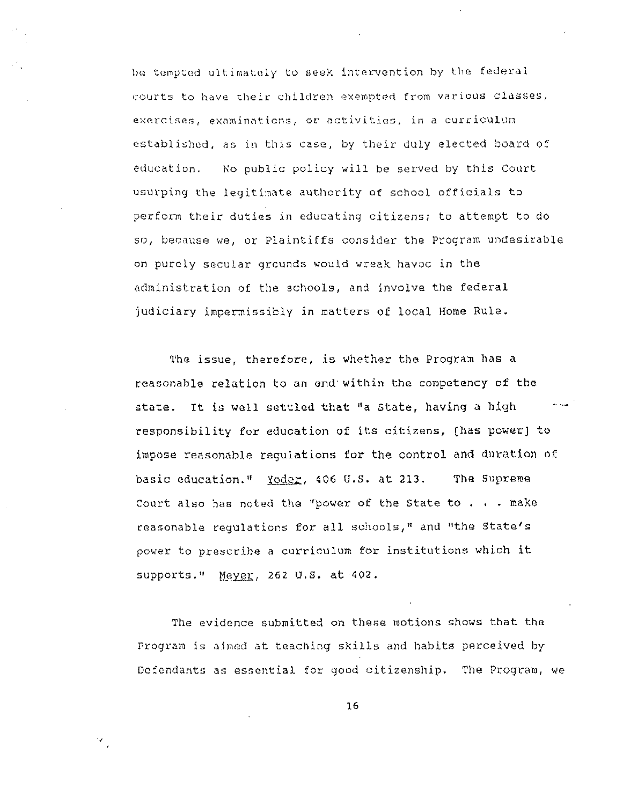be tempted ultimately to seek intervention by the federal courts to have their children exempted from various classes, exercises, examinations, or activities, in a curriculum established, as in this case, by their duly elected board of education. No public policy will be served by this Court usurping the legitimate authority of school officials to perform their duties in educating citizens; to attempt to do so, because we, or Plaintiffs consider the Program undesirable on purely secular grounds would wreak havoc in the administration of the schools, and involve the federal judiciary impermissibly in matters of local Home Rule.

The issue, therefore, is whether the Program has a reasonable relation to an end within the competency of the الماريدانية state. It is well settled that "a State, having a high responsibility for education of its citizens, [has power] to impose reasonable requiations for the control and duration of basic education." Yoder, 406 U.S. at 213. The Supreme Court also has noted the "power of the State to . . . make reasonable requiations for all schools," and "the State's power to prescribe a curriculum for institutions which it supports." Meyer, 262 U.S. at 402.

The evidence submitted on these motions shows that the Program is aimed at teaching skills and habits perceived by Defendants as essential for good citizenship. The Program, we

 $16$ 

 $\mathcal{F}_{\mathcal{A}}$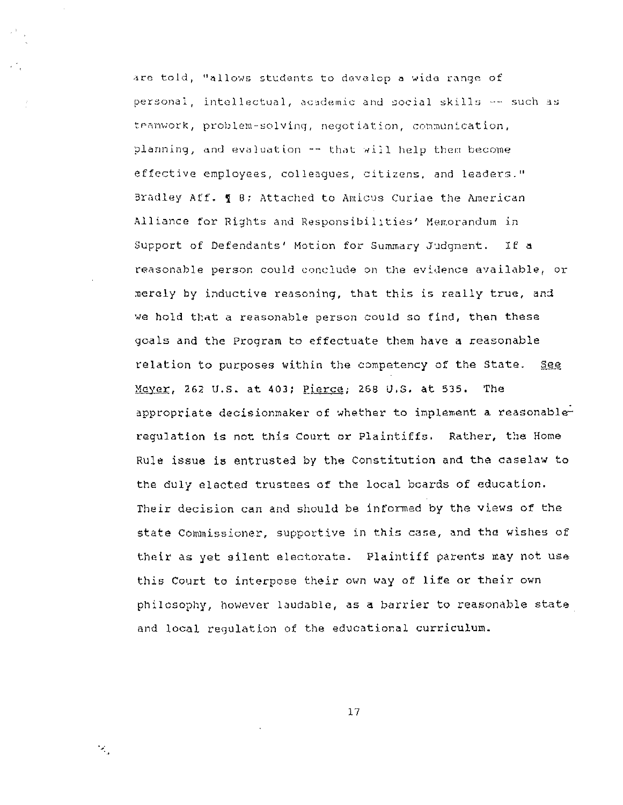are told, "allows students to develop a wide range of personal, intellectual, academic and social skills -- such as teamwork, problem-solving, negotiation, communication, planning, and evaluation -- that will help them become effective employees, colleagues, citizens, and leaders." Bradley Aff. **g** 8: Attached to Amicus Curiae the American Alliance for Rights and Responsibilities' Memorandum in Support of Defendants' Motion for Summary Judgment. If a reasonable person could conclude on the evidence available, or merely by inductive reasoning, that this is really true, and we hold that a reasonable person could so find, then these goals and the Program to effectuate them have a reasonable relation to purposes within the competency of the State. see Mayer, 262 U.S. at 403; Pierce, 268 U.S. at 535. The appropriate decisionmaker of whether to implement a reasonablerequlation is not this Court or Plaintiffs. Rather, the Home Rule issue is entrusted by the Constitution and the caselaw to the duly elected trustees of the local boards of education. Their decision can and should be informed by the views of the state Commissioner, supportive in this case, and the wishes of their as yet silent electorate. Plaintiff parents may not use this Court to interpose their own way of life or their own philosophy, however laudable, as a barrier to reasonable state and local regulation of the educational curriculum.

 $17$ 

 $\mathcal{L}_1$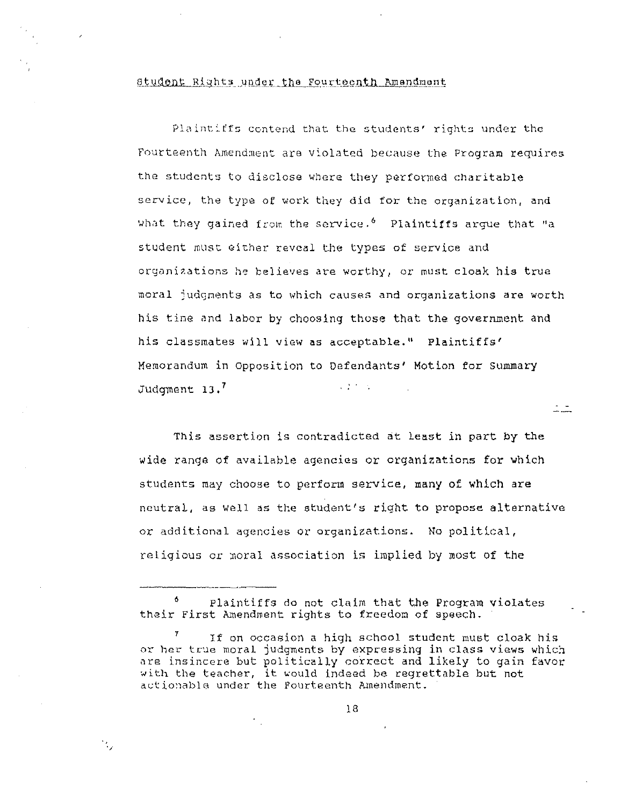## Student Rights under the Fourteenth Amendment

Plaintiffs contend that the students' rights under the Fourteenth Amendment are violated because the Program requires the students to disclose where they performed charitable service, the type of work they did for the organization, and What they gained from the service.<sup>6</sup> Plaintiffs argue that "a student must either reveal the types of service and organizations he believes are worthy, or must cloak his true moral judgnents as to which causes and organizations are worth his time and labor by choosing those that the government and his classmates will view as acceptable." Plaintiffs' Memorandum in Opposition to Defendants' Motion for Summary  $\mathcal{L}^{\text{max}}(\mathcal{L}^{\text{max}})$ Judgment 13.<sup>7</sup>

This assertion is contradicted at least in part by the wide range of available agencies or organizations for which students may choose to perform service, many of which are neutral, as well as the student's riqht to propose alternative or additional agencies or organizations. No political, religious or moral association is implied by most of the

 $\mathcal{A}_\mathcal{F}$ 

<sup>6</sup> Plaintiffs do not claim that the Program violates their First Amendment rights to freedom of speech.

If on occasion a high school student must cloak his or her true moral judqments by expressing in class views which are insincere but politically correct and likely to gain favor with the teacher, it would indeed be regrettable but not actionable under the Fourteenth Amendment.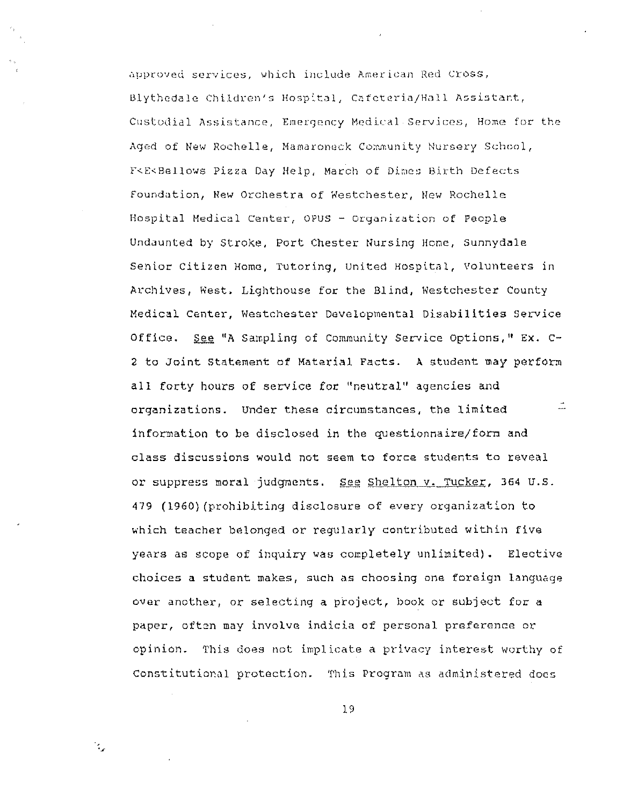approved services, which include American Red Cross, Blythedale Children's Hospital, Cafeteria/Hall Assistant, Custodial Assistance, Emergency Medical Services, Home for the Aged of New Rochelle, Mamaroneck Community Nursery School, F<E<Bellows Pizza Day Help, March of Dimes Birth Defects foundation, New Orchestra of Westchester, New Rochelle Hospital Medical Center, OPUS - Organization of People Undaunted by Stroke, Port Chester Nursing Home, Sunnydale Senior Citizen Home, Tutoring, United Hospital, Volunteers in Archives, West, Lighthouse for the Blind, Westchester County Medical Center, Westchester Developmental Disabilities Service Office. See "A Sampling of Community Service Options, " Ex. C-2 to Joint Statement of Material Facts. A student may perform all forty hours of service for "neutral" agencies and  $\tilde{\phantom{a}}$ organizations. Under these circumstances, the limited information to be disclosed in the questionnaire/form and class discussions would not seem to force students to reveal or suppress moral judgments. See Shelton v. Tucker, 364 U.S. 479 (1960) (prohibiting disclosure of every organization to which teacher belonged or regularly contributed within five years as scope of inquiry was completely unlimited). Elective choices a student makes, such as choosing one foreign language over another, or selecting a project, book or subject for a paper, often may involve indicia of personal preference or opinion. This does not implicate a privacy interest worthy of Constitutional protection. This Program as administered does

19

 $\mathcal{L}_{\mathcal{L}}$